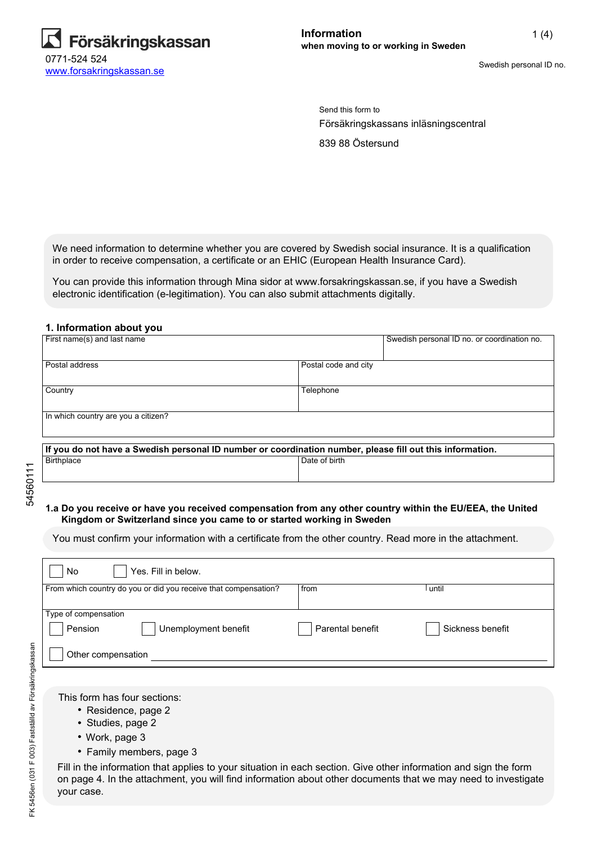

Swedish personal ID no.

Send this form to Försäkringskassans inläsningscentral

839 88 Östersund

We need information to determine whether you are covered by Swedish social insurance. It is a qualification in order to receive compensation, a certificate or an EHIC (European Health Insurance Card).

You can provide this information through Mina sidor at www.forsakringskassan.se, if you have a Swedish electronic identification (e-legitimation). You can also submit attachments digitally.

#### **1. Information about you**

| First name(s) and last name                                                                               |                      | Swedish personal ID no. or coordination no. |
|-----------------------------------------------------------------------------------------------------------|----------------------|---------------------------------------------|
| Postal address                                                                                            | Postal code and city |                                             |
|                                                                                                           |                      |                                             |
| Country                                                                                                   | Telephone            |                                             |
|                                                                                                           |                      |                                             |
| In which country are you a citizen?                                                                       |                      |                                             |
|                                                                                                           |                      |                                             |
| If you do not have a Swedish personal ID number or coordination number, please fill out this information. |                      |                                             |
| <b>Birthplace</b>                                                                                         | Date of birth        |                                             |
|                                                                                                           |                      |                                             |

# 54560111 54560111

#### **1.a Do you receive or have you received compensation from any other country within the EU/EEA, the United Kingdom or Switzerland since you came to or started working in Sweden**

You must confirm your information with a certificate from the other country. Read more in the attachment.

| Yes. Fill in below.<br>No                                       |                  |                  |
|-----------------------------------------------------------------|------------------|------------------|
| From which country do you or did you receive that compensation? | from             | until            |
|                                                                 |                  |                  |
| Type of compensation                                            |                  |                  |
| Pension<br>Unemployment benefit                                 | Parental benefit | Sickness benefit |
| Other compensation                                              |                  |                  |
|                                                                 |                  |                  |

This form has four sections:

- Residence, page 2
- Studies, page 2
- Work, page 3
- Family members, page 3

Fill in the information that applies to your situation in each section. Give other information and sign the form on page 4. In the attachment, you will find information about other documents that we may need to investigate your case.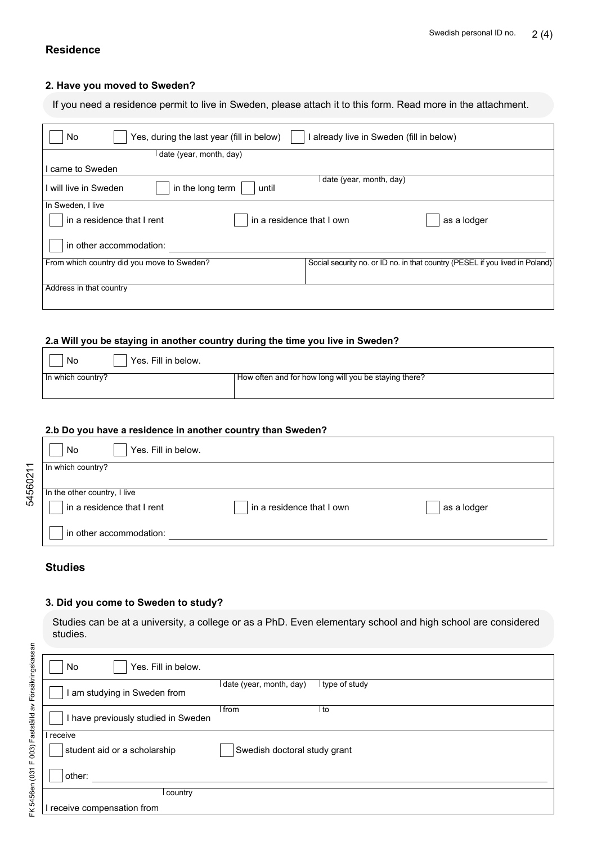## **Residence**

#### **2. Have you moved to Sweden?**

If you need a residence permit to live in Sweden, please attach it to this form. Read more in the attachment.

| Yes, during the last year (fill in below)<br>No         | I already live in Sweden (fill in below)                                     |
|---------------------------------------------------------|------------------------------------------------------------------------------|
| date (year, month, day)                                 |                                                                              |
| came to Sweden                                          |                                                                              |
| in the long term<br>l will live in Sweden<br>until      | date (year, month, day)                                                      |
| In Sweden, I live                                       |                                                                              |
| in a residence that I rent<br>in a residence that I own | as a lodger                                                                  |
| in other accommodation:                                 |                                                                              |
| From which country did you move to Sweden?              | Social security no. or ID no. in that country (PESEL if you lived in Poland) |
| Address in that country                                 |                                                                              |

## **2.a Will you be staying in another country during the time you live in Sweden?**

| Yes. Fill in below.<br>No |                                                       |
|---------------------------|-------------------------------------------------------|
| $\ln$ which country?      | How often and for how long will you be staying there? |
|                           |                                                       |

#### **2.b Do you have a residence in another country than Sweden?**

|          | Yes. Fill in below.<br>No    |                           |             |
|----------|------------------------------|---------------------------|-------------|
|          | In which country?            |                           |             |
| 54560211 |                              |                           |             |
|          | In the other country, I live |                           |             |
|          | in a residence that I rent   | in a residence that I own | as a lodger |
|          | in other accommodation:      |                           |             |

## **Studies**

#### **3. Did you come to Sweden to study?**

Studies can be at a university, a college or as a PhD. Even elementary school and high school are considered studies.

| Yes. Fill in below.<br>No           |                              |                 |
|-------------------------------------|------------------------------|-----------------|
| am studying in Sweden from          | date (year, month, day)      | l type of study |
| I have previously studied in Sweden | l from                       | to              |
| I receive                           |                              |                 |
| student aid or a scholarship        | Swedish doctoral study grant |                 |
| other:                              |                              |                 |
| l country                           |                              |                 |
| receive compensation from           |                              |                 |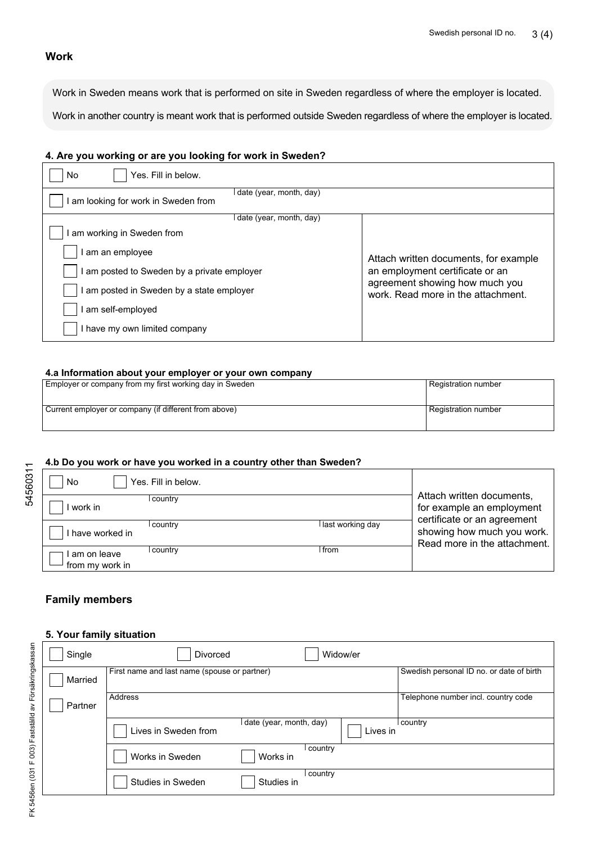#### **Work**

Work in Sweden means work that is performed on site in Sweden regardless of where the employer is located.

Work in another country is meant work that is performed outside Sweden regardless of where the employer is located.

#### **4. Are you working or are you looking for work in Sweden?**

| Yes. Fill in below.<br>No                                       |                                                                      |
|-----------------------------------------------------------------|----------------------------------------------------------------------|
| I date (year, month, day)<br>am looking for work in Sweden from |                                                                      |
| date (year, month, day)                                         |                                                                      |
| am working in Sweden from                                       |                                                                      |
| I am an employee                                                | Attach written documents, for example                                |
| I am posted to Sweden by a private employer                     | an employment certificate or an                                      |
| I am posted in Sweden by a state employer                       | agreement showing how much you<br>work. Read more in the attachment. |
| I am self-employed                                              |                                                                      |
| I have my own limited company                                   |                                                                      |

#### **4.a Information about your employer or your own company**

| Employer or company from my first working day in Sweden | Registration number |
|---------------------------------------------------------|---------------------|
| Current employer or company (if different from above)   | Registration number |

#### **4.b Do you work or have you worked in a country other than Sweden?**

| No                             | Yes. Fill in below. |                    |                                                                                       |
|--------------------------------|---------------------|--------------------|---------------------------------------------------------------------------------------|
| work in                        | l country           |                    | Attach written documents,<br>for example an employment<br>certificate or an agreement |
| I have worked in               | country             | l last working day | showing how much you work.<br>Read more in the attachment.                            |
| am on leave<br>from my work in | country             | l from             |                                                                                       |

## **Family members**

#### **5. Your family situation**

| Single  | Widow/er<br><b>Divorced</b>                                 |                                          |
|---------|-------------------------------------------------------------|------------------------------------------|
| Married | First name and last name (spouse or partner)                | Swedish personal ID no. or date of birth |
| Partner | Address                                                     | Telephone number incl. country code      |
|         | date (year, month, day)<br>Lives in Sweden from<br>Lives in | country                                  |
|         | country<br>Works in Sweden<br>Works in                      |                                          |
|         | country<br>Studies in Sweden<br>Studies in                  |                                          |

54560311

54560311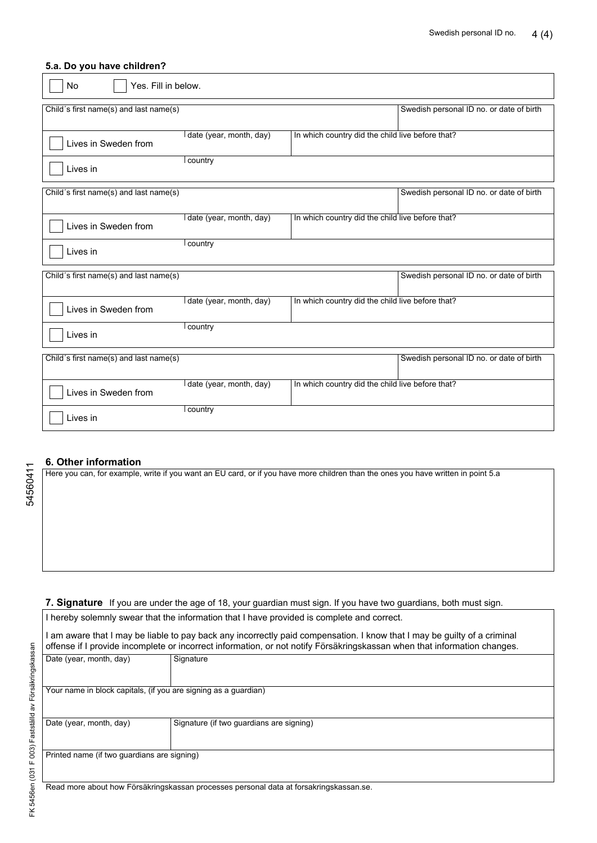#### **5.a. Do you have children?**

| No<br>Yes. Fill in below.              |                         |                                                  |                                          |
|----------------------------------------|-------------------------|--------------------------------------------------|------------------------------------------|
| Child's first name(s) and last name(s) |                         |                                                  | Swedish personal ID no. or date of birth |
| Lives in Sweden from                   | date (year, month, day) | In which country did the child live before that? |                                          |
| Lives in                               | country                 |                                                  |                                          |
| Child's first name(s) and last name(s) |                         |                                                  | Swedish personal ID no. or date of birth |
| Lives in Sweden from                   | date (year, month, day) | In which country did the child live before that? |                                          |
| Lives in                               | country                 |                                                  |                                          |
| Child's first name(s) and last name(s) |                         |                                                  | Swedish personal ID no. or date of birth |
| Lives in Sweden from                   | date (year, month, day) | In which country did the child live before that? |                                          |
| Lives in                               | country                 |                                                  |                                          |
| Child's first name(s) and last name(s) |                         |                                                  | Swedish personal ID no. or date of birth |
| Lives in Sweden from                   | date (year, month, day) | In which country did the child live before that? |                                          |
| Lives in                               | country                 |                                                  |                                          |

#### **6. Other information**

Here you can, for example, write if you want an EU card, or if you have more children than the ones you have written in point 5.a

**7. Signature** If you are under the age of 18, your guardian must sign. If you have two guardians, both must sign.

I hereby solemnly swear that the information that I have provided is complete and correct.

I am aware that I may be liable to pay back any incorrectly paid compensation. I know that I may be guilty of a criminal offense if I provide incomplete or incorrect information, or not notify Försäkringskassan when that information changes.

| Date (year, month, day)                                                                | Signature                                |  |
|----------------------------------------------------------------------------------------|------------------------------------------|--|
|                                                                                        |                                          |  |
|                                                                                        |                                          |  |
| Your name in block capitals, (if you are signing as a guardian)                        |                                          |  |
|                                                                                        |                                          |  |
|                                                                                        |                                          |  |
| Date (year, month, day)                                                                | Signature (if two guardians are signing) |  |
|                                                                                        |                                          |  |
|                                                                                        |                                          |  |
| Printed name (if two guardians are signing)                                            |                                          |  |
|                                                                                        |                                          |  |
|                                                                                        |                                          |  |
| Read more about how Försäkringskassan processes personal data at forsakringskassan.se. |                                          |  |

54560411

54560411